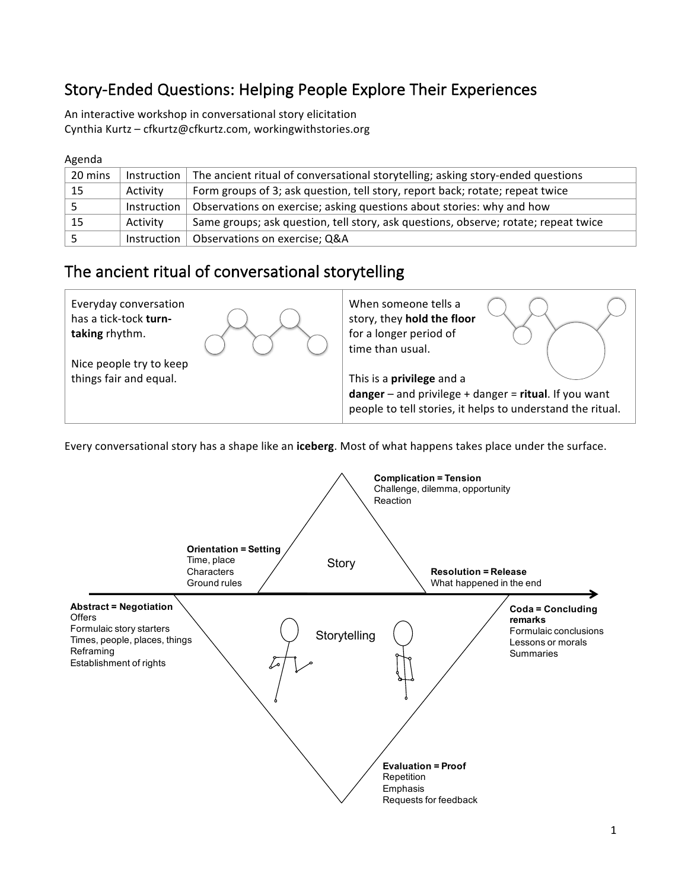# Story-Ended Questions: Helping People Explore Their Experiences

An interactive workshop in conversational story elicitation Cynthia Kurtz - cfkurtz@cfkurtz.com, workingwithstories.org

#### Agenda

| 20 mins | Instruction | The ancient ritual of conversational storytelling; asking story-ended questions     |
|---------|-------------|-------------------------------------------------------------------------------------|
| 15      | Activity    | Form groups of 3; ask question, tell story, report back; rotate; repeat twice       |
|         | Instruction | Observations on exercise; asking questions about stories: why and how               |
| 15      | Activity    | Same groups; ask question, tell story, ask questions, observe; rotate; repeat twice |
|         | Instruction | Observations on exercise; Q&A                                                       |

### The ancient ritual of conversational storytelling



Every conversational story has a shape like an iceberg. Most of what happens takes place under the surface.

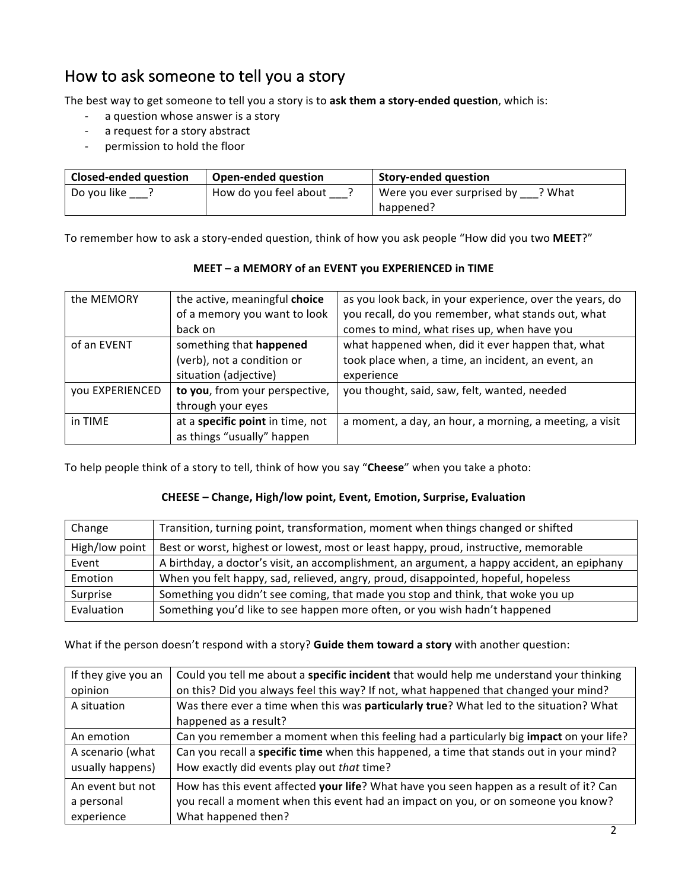# How to ask someone to tell you a story

The best way to get someone to tell you a story is to ask them a story-ended question, which is:

- a question whose answer is a story
- a request for a story abstract
- permission to hold the floor

| <b>Closed-ended question</b> | <b>Open-ended question</b> | <b>Story-ended question</b>          |  |
|------------------------------|----------------------------|--------------------------------------|--|
| Do you like                  | How do you feel about      | ? What<br>Were you ever surprised by |  |
|                              |                            | happened?                            |  |

To remember how to ask a story-ended question, think of how you ask people "How did you two MEET?"

| the MEMORY      | the active, meaningful choice    | as you look back, in your experience, over the years, do |
|-----------------|----------------------------------|----------------------------------------------------------|
|                 | of a memory you want to look     | you recall, do you remember, what stands out, what       |
|                 | back on                          | comes to mind, what rises up, when have you              |
| of an EVENT     | something that happened          | what happened when, did it ever happen that, what        |
|                 | (verb), not a condition or       | took place when, a time, an incident, an event, an       |
|                 | situation (adjective)            | experience                                               |
| you EXPERIENCED | to you, from your perspective,   | you thought, said, saw, felt, wanted, needed             |
|                 | through your eyes                |                                                          |
| in TIME         | at a specific point in time, not | a moment, a day, an hour, a morning, a meeting, a visit  |
|                 | as things "usually" happen       |                                                          |

**MEET** – a MEMORY of an EVENT you EXPERIENCED in TIME

To help people think of a story to tell, think of how you say "Cheese" when you take a photo:

#### **CHEESE – Change, High/low point, Event, Emotion, Surprise, Evaluation**

| Change         | Transition, turning point, transformation, moment when things changed or shifted            |
|----------------|---------------------------------------------------------------------------------------------|
| High/low point | Best or worst, highest or lowest, most or least happy, proud, instructive, memorable        |
| Event          | A birthday, a doctor's visit, an accomplishment, an argument, a happy accident, an epiphany |
| Emotion        | When you felt happy, sad, relieved, angry, proud, disappointed, hopeful, hopeless           |
| Surprise       | Something you didn't see coming, that made you stop and think, that woke you up             |
| Evaluation     | Something you'd like to see happen more often, or you wish hadn't happened                  |

#### What if the person doesn't respond with a story? Guide them toward a story with another question:

| If they give you an | Could you tell me about a specific incident that would help me understand your thinking        |
|---------------------|------------------------------------------------------------------------------------------------|
| opinion             | on this? Did you always feel this way? If not, what happened that changed your mind?           |
| A situation         | Was there ever a time when this was particularly true? What led to the situation? What         |
|                     | happened as a result?                                                                          |
| An emotion          | Can you remember a moment when this feeling had a particularly big <b>impact</b> on your life? |
| A scenario (what    | Can you recall a specific time when this happened, a time that stands out in your mind?        |
| usually happens)    | How exactly did events play out that time?                                                     |
| An event but not    | How has this event affected your life? What have you seen happen as a result of it? Can        |
| a personal          | you recall a moment when this event had an impact on you, or on someone you know?              |
| experience          | What happened then?                                                                            |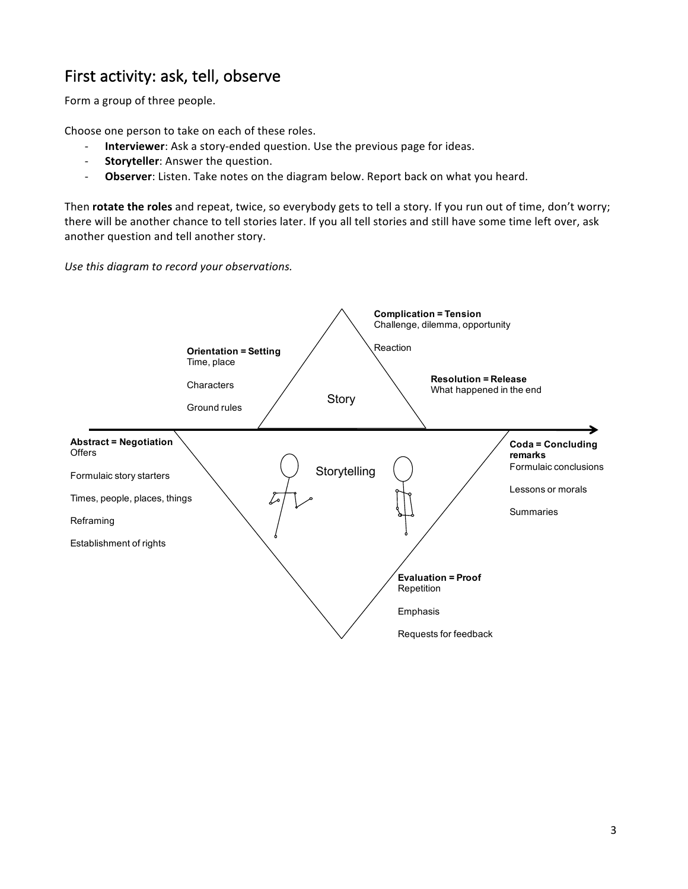## First activity: ask, tell, observe

Form a group of three people.

Choose one person to take on each of these roles.

- **Interviewer**: Ask a story-ended question. Use the previous page for ideas.
- **Storyteller**: Answer the question.
- **Observer**: Listen. Take notes on the diagram below. Report back on what you heard.

Then **rotate the roles** and repeat, twice, so everybody gets to tell a story. If you run out of time, don't worry; there will be another chance to tell stories later. If you all tell stories and still have some time left over, ask another question and tell another story.

Use this diagram to record your observations.

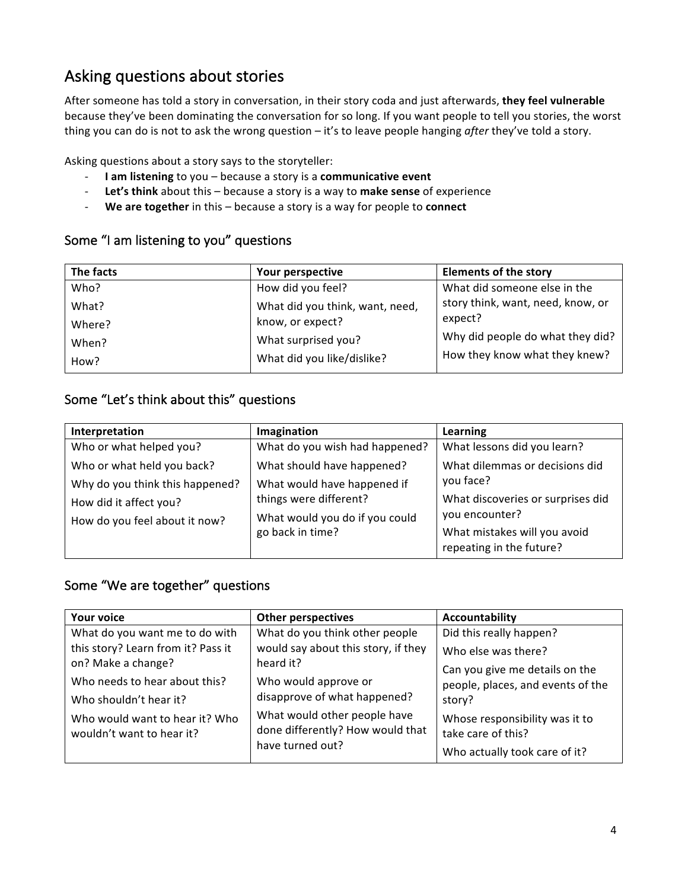# Asking questions about stories

After someone has told a story in conversation, in their story coda and just afterwards, they feel vulnerable because they've been dominating the conversation for so long. If you want people to tell you stories, the worst thing you can do is not to ask the wrong question – it's to leave people hanging *after* they've told a story.

Asking questions about a story says to the storyteller:

- **I am listening** to you because a story is a **communicative event**
- Let's think about this because a story is a way to make sense of experience
- **We are together** in this because a story is a way for people to **connect**

#### Some "I am listening to you" questions

| The facts | Your perspective                | <b>Elements of the story</b>      |
|-----------|---------------------------------|-----------------------------------|
| Who?      | How did you feel?               | What did someone else in the      |
| What?     | What did you think, want, need, | story think, want, need, know, or |
| Where?    | know, or expect?                | expect?                           |
| When?     | What surprised you?             | Why did people do what they did?  |
| How?      | What did you like/dislike?      | How they know what they knew?     |

### Some "Let's think about this" questions

| Interpretation                  | Imagination                    | Learning                          |
|---------------------------------|--------------------------------|-----------------------------------|
| Who or what helped you?         | What do you wish had happened? | What lessons did you learn?       |
| Who or what held you back?      | What should have happened?     | What dilemmas or decisions did    |
| Why do you think this happened? | What would have happened if    | you face?                         |
| How did it affect you?          | things were different?         | What discoveries or surprises did |
| How do you feel about it now?   | What would you do if you could | you encounter?                    |
|                                 | go back in time?               | What mistakes will you avoid      |
|                                 |                                | repeating in the future?          |

#### Some "We are together" questions

| <b>Your voice</b>                                           | <b>Other perspectives</b>                                                            | Accountability                                       |
|-------------------------------------------------------------|--------------------------------------------------------------------------------------|------------------------------------------------------|
| What do you want me to do with                              | What do you think other people                                                       | Did this really happen?                              |
| this story? Learn from it? Pass it                          | would say about this story, if they                                                  | Who else was there?                                  |
| on? Make a change?                                          | heard it?                                                                            | Can you give me details on the                       |
| Who needs to hear about this?                               | Who would approve or                                                                 | people, places, and events of the                    |
| Who shouldn't hear it?                                      | disapprove of what happened?                                                         | story?                                               |
| Who would want to hear it? Who<br>wouldn't want to hear it? | What would other people have<br>done differently? How would that<br>have turned out? | Whose responsibility was it to<br>take care of this? |
|                                                             |                                                                                      | Who actually took care of it?                        |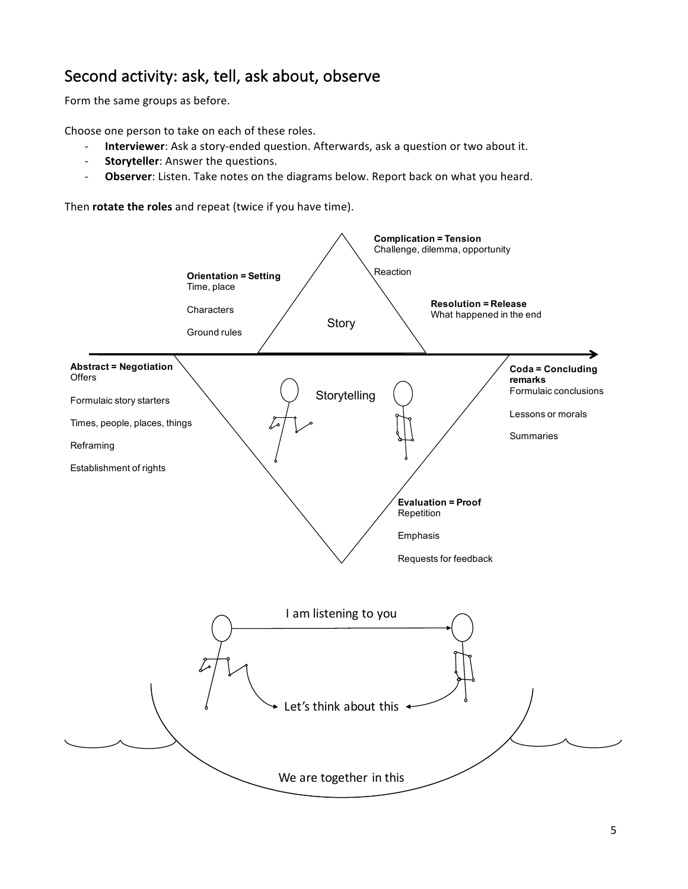### Second activity: ask, tell, ask about, observe

Form the same groups as before.

Choose one person to take on each of these roles.

- **Interviewer**: Ask a story-ended question. Afterwards, ask a question or two about it.
- **Storyteller**: Answer the questions.
- Observer: Listen. Take notes on the diagrams below. Report back on what you heard.

Then **rotate the roles** and repeat (twice if you have time).